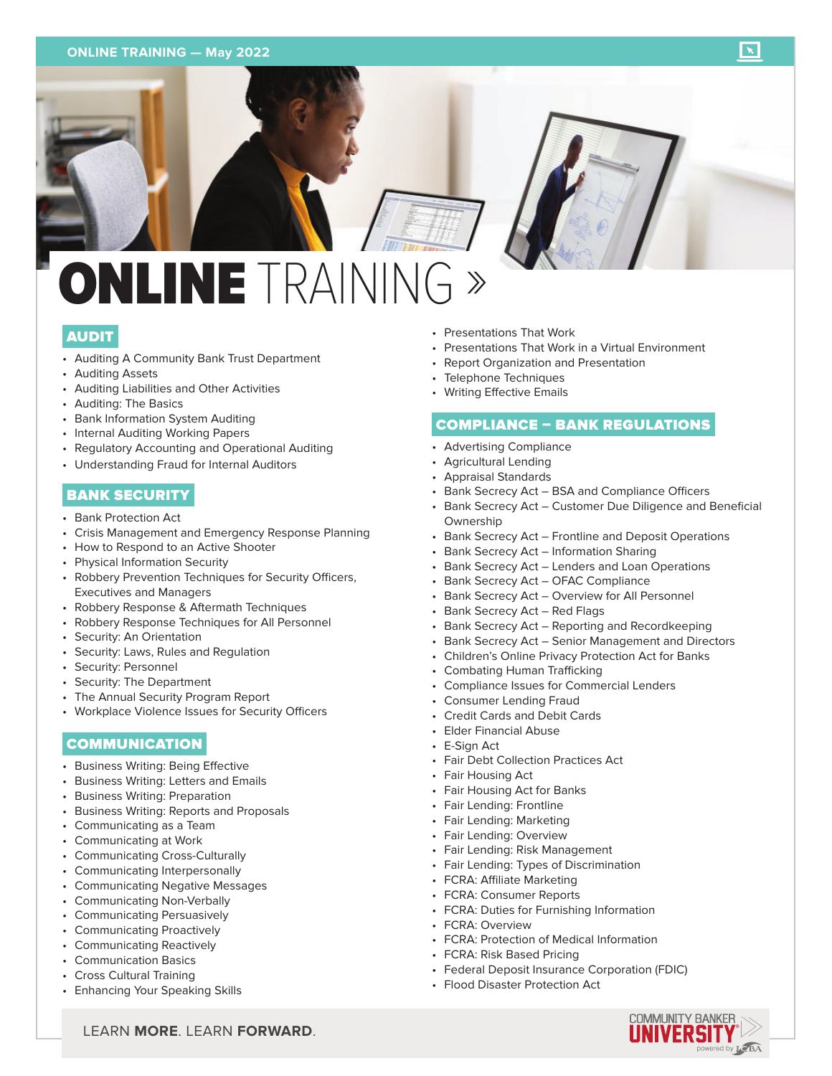#### **ONLINE TRAINING — May 2022**

# NLINE TRAINI

## AUDIT

- Auditing A Community Bank Trust Department
- Auditing Assets
- Auditing Liabilities and Other Activities
- Auditing: The Basics
- Bank Information System Auditing
- Internal Auditing Working Papers
- Regulatory Accounting and Operational Auditing
- Understanding Fraud for Internal Auditors

# BANK SECURITY

- Bank Protection Act
- Crisis Management and Emergency Response Planning
- How to Respond to an Active Shooter
- Physical Information Security
- Robbery Prevention Techniques for Security Officers, Executives and Managers
- Robbery Response & Aftermath Techniques
- Robbery Response Techniques for All Personnel
- Security: An Orientation
- Security: Laws, Rules and Regulation
- Security: Personnel
- Security: The Department
- The Annual Security Program Report
- Workplace Violence Issues for Security Officers

# COMMUNICATION

- Business Writing: Being Effective
- Business Writing: Letters and Emails
- Business Writing: Preparation
- Business Writing: Reports and Proposals
- Communicating as a Team
- Communicating at Work
- Communicating Cross-Culturally
- Communicating Interpersonally
- Communicating Negative Messages
- Communicating Non-Verbally
- Communicating Persuasively
- Communicating Proactively
- Communicating Reactively
- Communication Basics
- Cross Cultural Training
- Enhancing Your Speaking Skills
- Presentations That Work
- Presentations That Work in a Virtual Environment
- Report Organization and Presentation
- Telephone Techniques
- Writing Effective Emails

#### COMPLIANCE – BANK REGULATIONS

- Advertising Compliance
- Agricultural Lending
- Appraisal Standards
- Bank Secrecy Act BSA and Compliance Officers
- Bank Secrecy Act Customer Due Diligence and Beneficial **Ownership**
- Bank Secrecy Act Frontline and Deposit Operations
- Bank Secrecy Act Information Sharing
- Bank Secrecy Act Lenders and Loan Operations
- Bank Secrecy Act OFAC Compliance
- Bank Secrecy Act Overview for All Personnel
- Bank Secrecy Act Red Flags
- Bank Secrecy Act Reporting and Recordkeeping
- Bank Secrecy Act Senior Management and Directors
- Children's Online Privacy Protection Act for Banks
- Combating Human Trafficking
- Compliance Issues for Commercial Lenders
- Consumer Lending Fraud
- Credit Cards and Debit Cards
- Elder Financial Abuse
- E-Sign Act
- Fair Debt Collection Practices Act
- Fair Housing Act
- Fair Housing Act for Banks
- Fair Lending: Frontline
- Fair Lending: Marketing
- Fair Lending: Overview
- Fair Lending: Risk Management
- Fair Lending: Types of Discrimination
- FCRA: Affiliate Marketing
- FCRA: Consumer Reports
	- FCRA: Duties for Furnishing Information
	- FCRA: Overview
	- FCRA: Protection of Medical Information
	- FCRA: Risk Based Pricing
	- Federal Deposit Insurance Corporation (FDIC)
	- Flood Disaster Protection Act

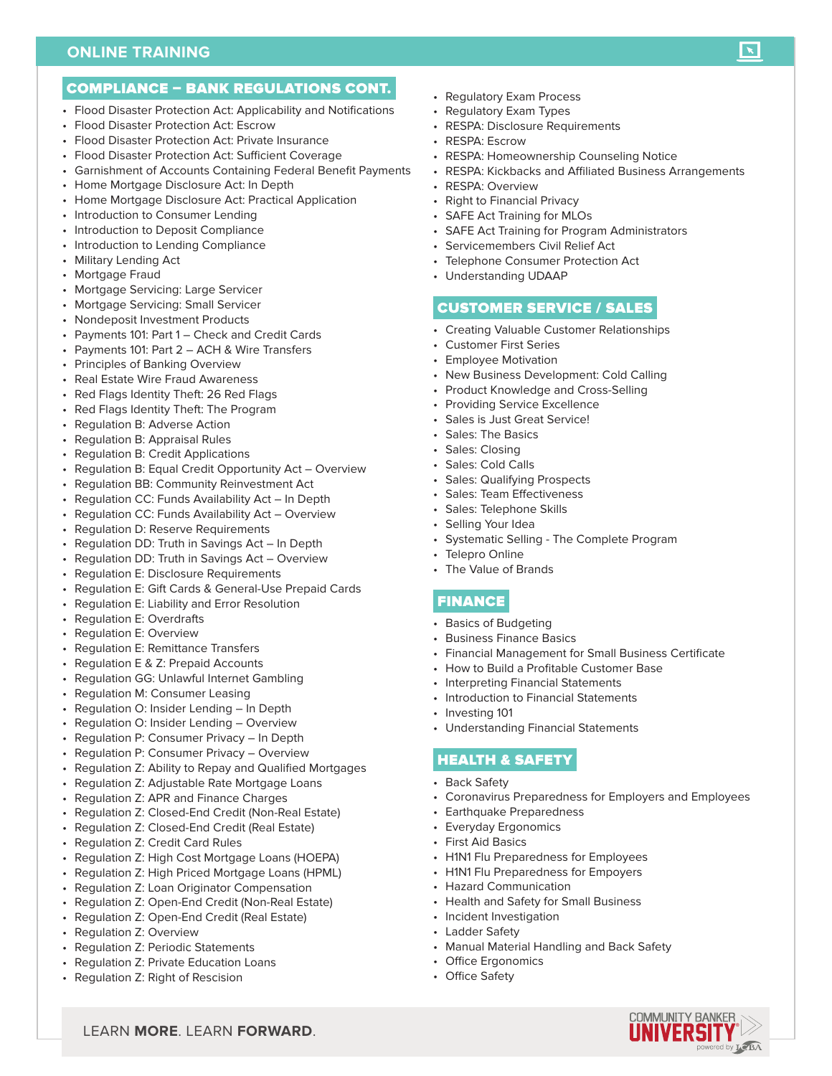#### **ONLINE TRAINING**

- Flood Disaster Protection Act: Applicability and Notifications
- Flood Disaster Protection Act: Escrow
- Flood Disaster Protection Act: Private Insurance
- Flood Disaster Protection Act: Sufficient Coverage
- Garnishment of Accounts Containing Federal Benefit Payments
- Home Mortgage Disclosure Act: In Depth
- Home Mortgage Disclosure Act: Practical Application
- Introduction to Consumer Lending
- Introduction to Deposit Compliance
- Introduction to Lending Compliance
- Military Lending Act
- Mortgage Fraud
- Mortgage Servicing: Large Servicer
- Mortgage Servicing: Small Servicer
- Nondeposit Investment Products
- Payments 101: Part 1 Check and Credit Cards
- Payments 101: Part 2 ACH & Wire Transfers
- Principles of Banking Overview
- Real Estate Wire Fraud Awareness
- Red Flags Identity Theft: 26 Red Flags
- Red Flags Identity Theft: The Program
- Regulation B: Adverse Action
- Regulation B: Appraisal Rules
- Regulation B: Credit Applications
- Regulation B: Equal Credit Opportunity Act Overview
- Regulation BB: Community Reinvestment Act
- Regulation CC: Funds Availability Act In Depth
- Regulation CC: Funds Availability Act Overview
- Regulation D: Reserve Requirements
- Regulation DD: Truth in Savings Act In Depth
- Regulation DD: Truth in Savings Act Overview
- Regulation E: Disclosure Requirements
- Regulation E: Gift Cards & General-Use Prepaid Cards
- Regulation E: Liability and Error Resolution
- Regulation E: Overdrafts
- Regulation E: Overview
- Regulation E: Remittance Transfers
- Regulation E & Z: Prepaid Accounts
- Regulation GG: Unlawful Internet Gambling
- Regulation M: Consumer Leasing
- Regulation O: Insider Lending In Depth
- Regulation O: Insider Lending Overview
- Regulation P: Consumer Privacy In Depth
- Regulation P: Consumer Privacy Overview
- Regulation Z: Ability to Repay and Qualified Mortgages
- Regulation Z: Adjustable Rate Mortgage Loans
- Regulation Z: APR and Finance Charges
- Regulation Z: Closed-End Credit (Non-Real Estate)
- Regulation Z: Closed-End Credit (Real Estate)
- Regulation Z: Credit Card Rules
- Regulation Z: High Cost Mortgage Loans (HOEPA)
- Regulation Z: High Priced Mortgage Loans (HPML)
- Regulation Z: Loan Originator Compensation
- Regulation Z: Open-End Credit (Non-Real Estate)

LEARN **MORE**. LEARN **FORWARD**.

- Regulation Z: Open-End Credit (Real Estate)
- Regulation Z: Overview
- Regulation Z: Periodic Statements
- Regulation Z: Private Education Loans
- Regulation Z: Right of Rescision
- Regulatory Exam Process
- Regulatory Exam Types
- RESPA: Disclosure Requirements
- RESPA: Escrow
- RESPA: Homeownership Counseling Notice
- RESPA: Kickbacks and Affiliated Business Arrangements

 $\mathbf{X}$ 

- RESPA: Overview
- Right to Financial Privacy
- SAFE Act Training for MLOs
- SAFE Act Training for Program Administrators
- Servicemembers Civil Relief Act
- Telephone Consumer Protection Act
- Understanding UDAAP

#### CUSTOMER SERVICE / SALES

- Creating Valuable Customer Relationships
- Customer First Series
- Employee Motivation
- New Business Development: Cold Calling
- Product Knowledge and Cross-Selling
- Providing Service Excellence
- Sales is Just Great Service!
- Sales: The Basics
- Sales: Closing
- Sales: Cold Calls
- Sales: Qualifying Prospects
- Sales: Team Effectiveness
- Sales: Telephone Skills
- Selling Your Idea
- Systematic Selling The Complete Program
- Telepro Online
- The Value of Brands

### FINANCE

- Basics of Budgeting
- Business Finance Basics

HEALTH & SAFETY

• Earthquake Preparedness • Everyday Ergonomics • First Aid Basics

• Hazard Communication

• Incident Investigation • Ladder Safety

• Office Ergonomics • Office Safety

• Financial Management for Small Business Certificate

• Coronavirus Preparedness for Employers and Employees

- How to Build a Profitable Customer Base
- Interpreting Financial Statements
- Introduction to Financial Statements

• Understanding Financial Statements

• H1N1 Flu Preparedness for Employees • H1N1 Flu Preparedness for Empoyers

• Health and Safety for Small Business

• Manual Material Handling and Back Safety

• Investing 101

• Back Safety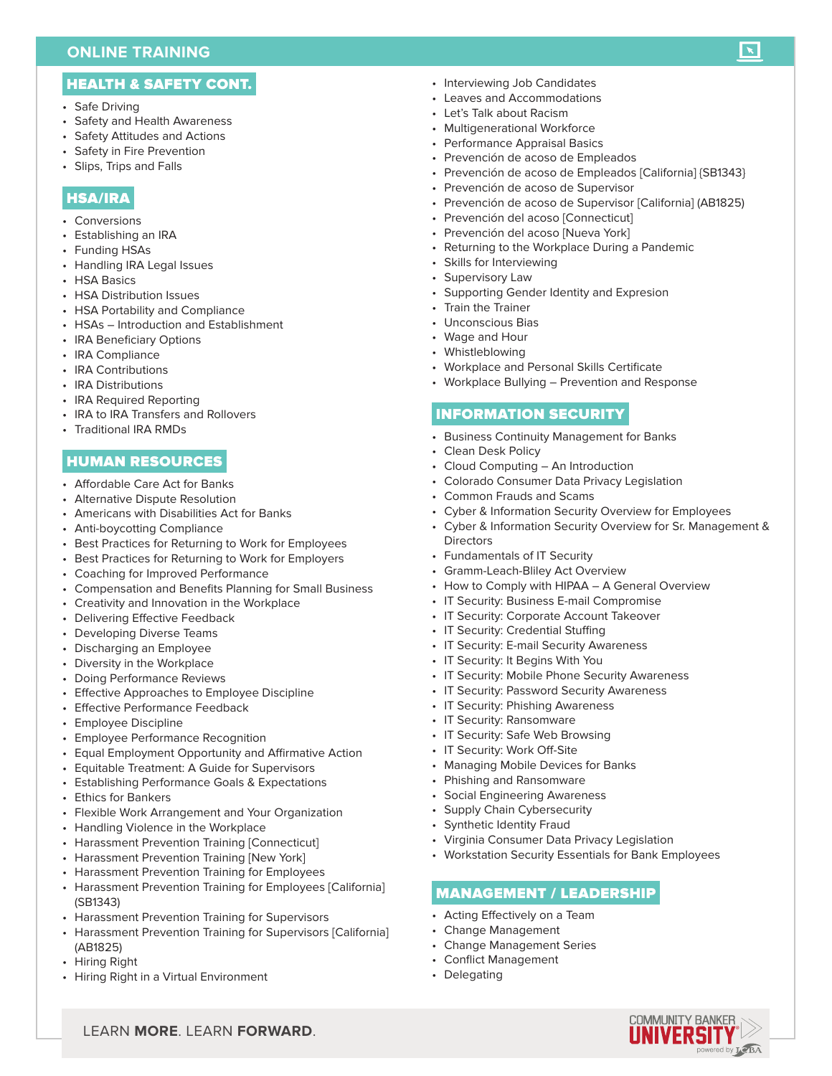# HEALTH & SAFETY CONT.

- Safe Driving
- Safety and Health Awareness
- Safety Attitudes and Actions
- Safety in Fire Prevention
- Slips, Trips and Falls

#### HSA/IRA

- Conversions
- Establishing an IRA
- Funding HSAs
- Handling IRA Legal Issues
- HSA Basics
- HSA Distribution Issues
- HSA Portability and Compliance
- HSAs Introduction and Establishment
- IRA Beneficiary Options
- IRA Compliance
- IRA Contributions
- IRA Distributions
- IRA Required Reporting
- IRA to IRA Transfers and Rollovers
- Traditional IRA RMDs

### HUMAN RESOURCES

- Affordable Care Act for Banks
- Alternative Dispute Resolution
- Americans with Disabilities Act for Banks
- Anti-boycotting Compliance
- Best Practices for Returning to Work for Employees
- Best Practices for Returning to Work for Employers
- Coaching for Improved Performance
- Compensation and Benefits Planning for Small Business
- Creativity and Innovation in the Workplace
- Delivering Effective Feedback
- Developing Diverse Teams
- Discharging an Employee
- Diversity in the Workplace
- Doing Performance Reviews
- Effective Approaches to Employee Discipline
- Effective Performance Feedback
- Employee Discipline
- Employee Performance Recognition
- Equal Employment Opportunity and Affirmative Action
- Equitable Treatment: A Guide for Supervisors
- Establishing Performance Goals & Expectations
- Ethics for Bankers
- Flexible Work Arrangement and Your Organization
- Handling Violence in the Workplace
- Harassment Prevention Training [Connecticut]
- Harassment Prevention Training [New York]
- Harassment Prevention Training for Employees
- Harassment Prevention Training for Employees [California] (SB1343)
- Harassment Prevention Training for Supervisors

LEARN **MORE**. LEARN **FORWARD**.

- Harassment Prevention Training for Supervisors [California] (AB1825)
- Hiring Right
- Hiring Right in a Virtual Environment
- Interviewing Job Candidates
- Leaves and Accommodations
- Let's Talk about Racism
- Multigenerational Workforce
- Performance Appraisal Basics
- Prevención de acoso de Empleados
- Prevención de acoso de Empleados [California] {SB1343}

 $\mathbf{X}$ 

- Prevención de acoso de Supervisor
- Prevención de acoso de Supervisor [California] (AB1825)
- Prevención del acoso [Connecticut]
- Prevención del acoso [Nueva York]
- Returning to the Workplace During a Pandemic
- Skills for Interviewing
- Supervisory Law
- Supporting Gender Identity and Expresion
- Train the Trainer
- Unconscious Bias
- Wage and Hour
- Whistleblowing
- Workplace and Personal Skills Certificate
- Workplace Bullying Prevention and Response

# INFORMATION SECURITY

- Business Continuity Management for Banks
- Clean Desk Policy
- Cloud Computing An Introduction
- Colorado Consumer Data Privacy Legislation
- Common Frauds and Scams
- Cyber & Information Security Overview for Employees
- Cyber & Information Security Overview for Sr. Management & **Directors**
- Fundamentals of IT Security
- Gramm-Leach-Bliley Act Overview
- How to Comply with HIPAA A General Overview
- IT Security: Business E-mail Compromise
- IT Security: Corporate Account Takeover
- IT Security: Credential Stuffing
- IT Security: E-mail Security Awareness
- IT Security: It Begins With You
- IT Security: Mobile Phone Security Awareness
- IT Security: Password Security Awareness
- IT Security: Phishing Awareness
- IT Security: Ransomware
- IT Security: Safe Web Browsing
- IT Security: Work Off-Site

• Phishing and Ransomware • Social Engineering Awareness • Supply Chain Cybersecurity • Synthetic Identity Fraud

• Acting Effectively on a Team • Change Management • Change Management Series • Conflict Management

• Delegating

• Managing Mobile Devices for Banks

• Virginia Consumer Data Privacy Legislation

MANAGEMENT / LEADERSHIP

• Workstation Security Essentials for Bank Employees

COMMUNITY BANKEF